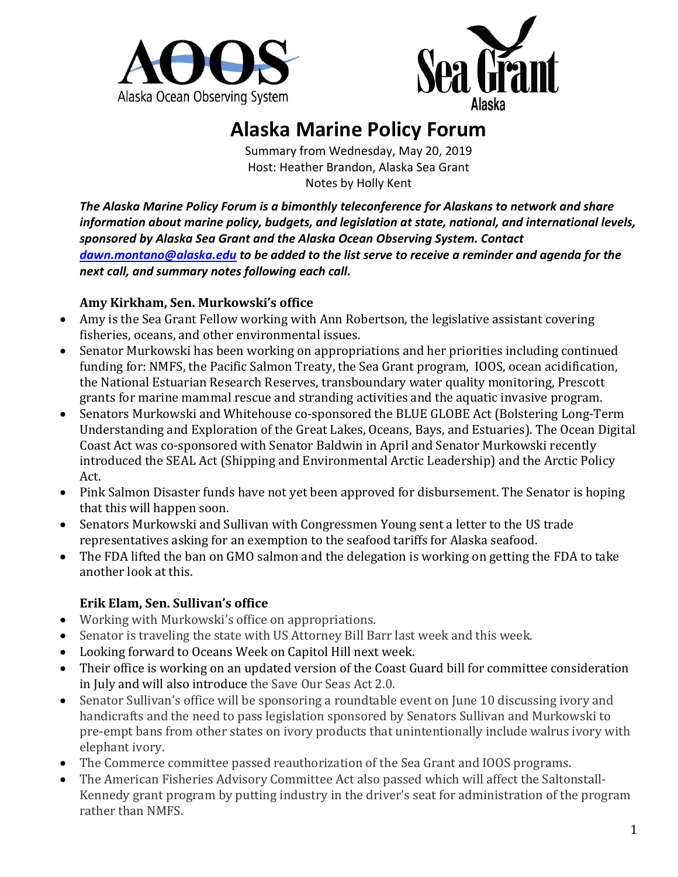



# **Alaska Marine Policy Forum**

Summary from Wednesday, May 20, 2019 Host: Heather Brandon, Alaska Sea Grant Notes by Holly Kent

*The Alaska Marine Policy Forum is a bimonthly teleconference for Alaskans to network and share information about marine policy, budgets, and legislation at state, national, and international levels, sponsored by Alaska Sea Grant and the Alaska Ocean Observing System. Contact [dawn.montano@alaska.edu](mailto:dawn.montano@alaska.edu) to be added to the list serve to receive a reminder and agenda for the next call, and summary notes following each call.* 

## **Amy Kirkham, Sen. Murkowski's office**

- Amy is the Sea Grant Fellow working with Ann Robertson, the legislative assistant covering fisheries, oceans, and other environmental issues.
- Senator Murkowski has been working on appropriations and her priorities including continued funding for: NMFS, the Pacific Salmon Treaty, the Sea Grant program, IOOS, ocean acidification, the National Estuarian Research Reserves, transboundary water quality monitoring, Prescott grants for marine mammal rescue and stranding activities and the aquatic invasive program.
- Senators Murkowski and Whitehouse co-sponsored the BLUE GLOBE Act (Bolstering Long-Term Understanding and Exploration of the Great Lakes, Oceans, Bays, and Estuaries). The Ocean Digital Coast Act was co-sponsored with Senator Baldwin in April and Senator Murkowski recently introduced the SEAL Act (Shipping and Environmental Arctic Leadership) and the Arctic Policy Act.
- Pink Salmon Disaster funds have not yet been approved for disbursement. The Senator is hoping that this will happen soon.
- Senators Murkowski and Sullivan with Congressmen Young sent a letter to the US trade representatives asking for an exemption to the seafood tariffs for Alaska seafood.
- The FDA lifted the ban on GMO salmon and the delegation is working on getting the FDA to take another look at this.

## **Erik Elam, Sen. Sullivan's office**

- Working with Murkowski's office on appropriations.
- Senator is traveling the state with US Attorney Bill Barr last week and this week.
- Looking forward to Oceans Week on Capitol Hill next week.
- Their office is working on an updated version of the Coast Guard bill for committee consideration in July and will also introduce the Save Our Seas Act 2.0.
- Senator Sullivan's office will be sponsoring a roundtable event on June 10 discussing ivory and handicrafts and the need to pass legislation sponsored by Senators Sullivan and Murkowski to pre-empt bans from other states on ivory products that unintentionally include walrus ivory with elephant ivory.
- The Commerce committee passed reauthorization of the Sea Grant and IOOS programs.
- The American Fisheries Advisory Committee Act also passed which will affect the Saltonstall-Kennedy grant program by putting industry in the driver's seat for administration of the program rather than NMFS.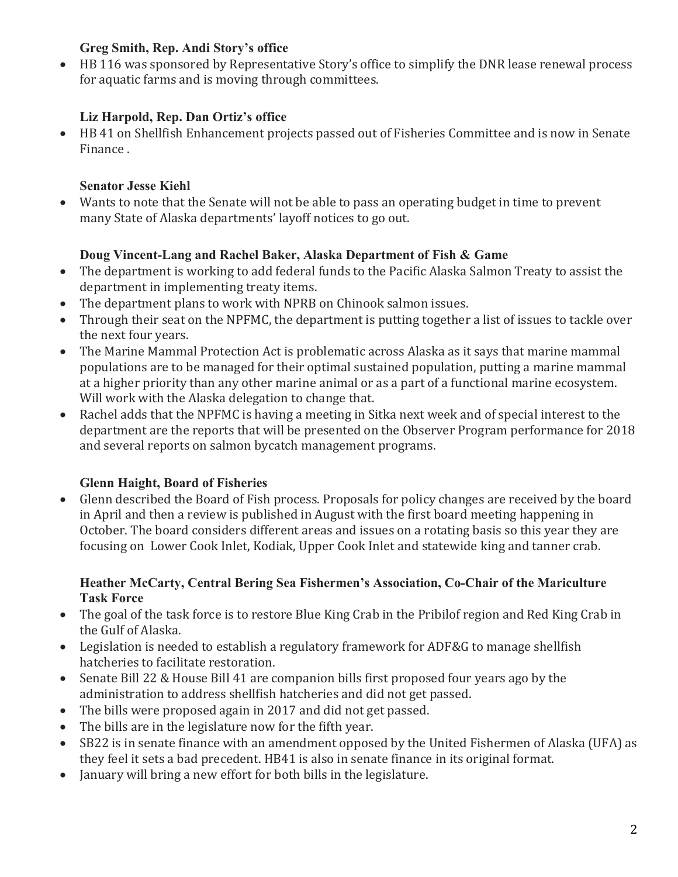## **Greg Smith, Rep. Andi Story's office**

• HB 116 was sponsored by Representative Story's office to simplify the DNR lease renewal process for aquatic farms and is moving through committees.

# **Liz Harpold, Rep. Dan Ortiz's office**

• HB 41 on Shellfish Enhancement projects passed out of Fisheries Committee and is now in Senate Finance .

# **Senator Jesse Kiehl**

• Wants to note that the Senate will not be able to pass an operating budget in time to prevent many State of Alaska departments' layoff notices to go out.

# **Doug Vincent-Lang and Rachel Baker, Alaska Department of Fish & Game**

- The department is working to add federal funds to the Pacific Alaska Salmon Treaty to assist the department in implementing treaty items.
- The department plans to work with NPRB on Chinook salmon issues.
- Through their seat on the NPFMC, the department is putting together a list of issues to tackle over the next four years.
- The Marine Mammal Protection Act is problematic across Alaska as it says that marine mammal populations are to be managed for their optimal sustained population, putting a marine mammal at a higher priority than any other marine animal or as a part of a functional marine ecosystem. Will work with the Alaska delegation to change that.
- Rachel adds that the NPFMC is having a meeting in Sitka next week and of special interest to the department are the reports that will be presented on the Observer Program performance for 2018 and several reports on salmon bycatch management programs.

# **Glenn Haight, Board of Fisheries**

• Glenn described the Board of Fish process. Proposals for policy changes are received by the board in April and then a review is published in August with the first board meeting happening in October. The board considers different areas and issues on a rotating basis so this year they are focusing on Lower Cook Inlet, Kodiak, Upper Cook Inlet and statewide king and tanner crab.

#### **Heather McCarty, Central Bering Sea Fishermen's Association, Co-Chair of the Mariculture Task Force**

- The goal of the task force is to restore Blue King Crab in the Pribilof region and Red King Crab in the Gulf of Alaska.
- Legislation is needed to establish a regulatory framework for ADF&G to manage shellfish hatcheries to facilitate restoration.
- Senate Bill 22 & House Bill 41 are companion bills first proposed four years ago by the administration to address shellfish hatcheries and did not get passed.
- The bills were proposed again in 2017 and did not get passed.
- The bills are in the legislature now for the fifth year.
- SB22 is in senate finance with an amendment opposed by the United Fishermen of Alaska (UFA) as they feel it sets a bad precedent. HB41 is also in senate finance in its original format.
- January will bring a new effort for both bills in the legislature.